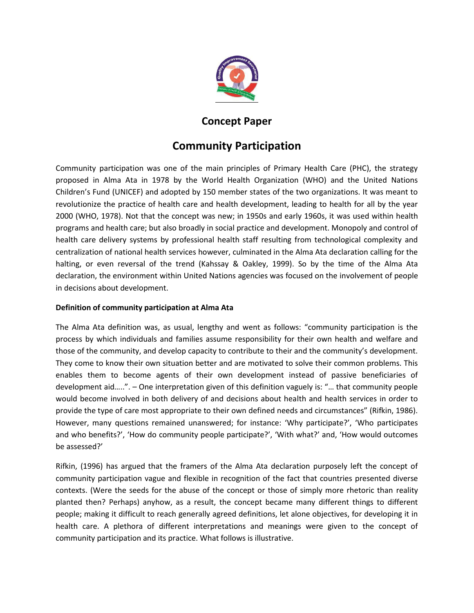

## **Concept Paper**

# **Community Participation**

Community participation was one of the main principles of Primary Health Care (PHC), the strategy proposed in Alma Ata in 1978 by the World Health Organization (WHO) and the United Nations Children's Fund (UNICEF) and adopted by 150 member states of the two organizations. It was meant to revolutionize the practice of health care and health development, leading to health for all by the year 2000 (WHO, 1978). Not that the concept was new; in 1950s and early 1960s, it was used within health programs and health care; but also broadly in social practice and development. Monopoly and control of health care delivery systems by professional health staff resulting from technological complexity and centralization of national health services however, culminated in the Alma Ata declaration calling for the halting, or even reversal of the trend (Kahssay & Oakley, 1999). So by the time of the Alma Ata declaration, the environment within United Nations agencies was focused on the involvement of people in decisions about development.

#### **Definition of community participation at Alma Ata**

The Alma Ata definition was, as usual, lengthy and went as follows: "community participation is the process by which individuals and families assume responsibility for their own health and welfare and those of the community, and develop capacity to contribute to their and the community's development. They come to know their own situation better and are motivated to solve their common problems. This enables them to become agents of their own development instead of passive beneficiaries of development aid…..". – One interpretation given of this definition vaguely is: "… that community people would become involved in both delivery of and decisions about health and health services in order to provide the type of care most appropriate to their own defined needs and circumstances" (Rifkin, 1986). However, many questions remained unanswered; for instance: 'Why participate?', 'Who participates and who benefits?', 'How do community people participate?', 'With what?' and, 'How would outcomes be assessed?'

Rifkin, (1996) has argued that the framers of the Alma Ata declaration purposely left the concept of community participation vague and flexible in recognition of the fact that countries presented diverse contexts. (Were the seeds for the abuse of the concept or those of simply more rhetoric than reality planted then? Perhaps) anyhow, as a result, the concept became many different things to different people; making it difficult to reach generally agreed definitions, let alone objectives, for developing it in health care. A plethora of different interpretations and meanings were given to the concept of community participation and its practice. What follows is illustrative.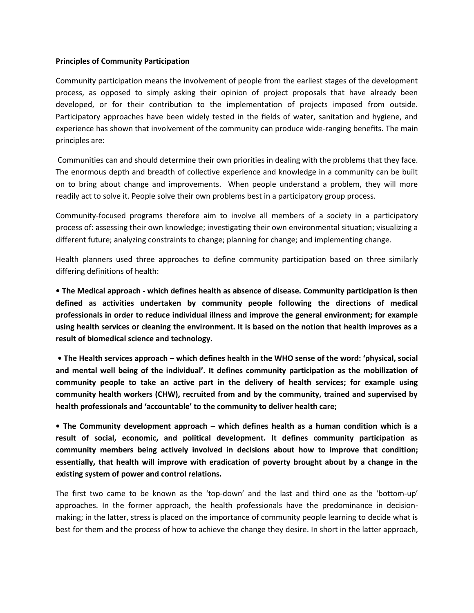#### **Principles of Community Participation**

Community participation means the involvement of people from the earliest stages of the development process, as opposed to simply asking their opinion of project proposals that have already been developed, or for their contribution to the implementation of projects imposed from outside. Participatory approaches have been widely tested in the fields of water, sanitation and hygiene, and experience has shown that involvement of the community can produce wide-ranging benefits. The main principles are:

Communities can and should determine their own priorities in dealing with the problems that they face. The enormous depth and breadth of collective experience and knowledge in a community can be built on to bring about change and improvements. When people understand a problem, they will more readily act to solve it. People solve their own problems best in a participatory group process.

Community-focused programs therefore aim to involve all members of a society in a participatory process of: assessing their own knowledge; investigating their own environmental situation; visualizing a different future; analyzing constraints to change; planning for change; and implementing change.

Health planners used three approaches to define community participation based on three similarly differing definitions of health:

**• The Medical approach - which defines health as absence of disease. Community participation is then defined as activities undertaken by community people following the directions of medical professionals in order to reduce individual illness and improve the general environment; for example using health services or cleaning the environment. It is based on the notion that health improves as a result of biomedical science and technology.** 

**• The Health services approach – which defines health in the WHO sense of the word: 'physical, social and mental well being of the individual'. It defines community participation as the mobilization of community people to take an active part in the delivery of health services; for example using community health workers (CHW), recruited from and by the community, trained and supervised by health professionals and 'accountable' to the community to deliver health care;** 

**• The Community development approach – which defines health as a human condition which is a result of social, economic, and political development. It defines community participation as community members being actively involved in decisions about how to improve that condition; essentially, that health will improve with eradication of poverty brought about by a change in the existing system of power and control relations.** 

The first two came to be known as the 'top-down' and the last and third one as the 'bottom-up' approaches. In the former approach, the health professionals have the predominance in decisionmaking; in the latter, stress is placed on the importance of community people learning to decide what is best for them and the process of how to achieve the change they desire. In short in the latter approach,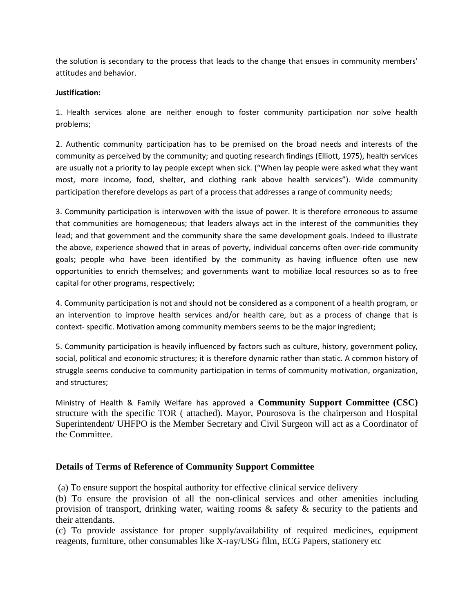the solution is secondary to the process that leads to the change that ensues in community members' attitudes and behavior.

#### **Justification:**

1. Health services alone are neither enough to foster community participation nor solve health problems;

2. Authentic community participation has to be premised on the broad needs and interests of the community as perceived by the community; and quoting research findings (Elliott, 1975), health services are usually not a priority to lay people except when sick. ("When lay people were asked what they want most, more income, food, shelter, and clothing rank above health services"). Wide community participation therefore develops as part of a process that addresses a range of community needs;

3. Community participation is interwoven with the issue of power. It is therefore erroneous to assume that communities are homogeneous; that leaders always act in the interest of the communities they lead; and that government and the community share the same development goals. Indeed to illustrate the above, experience showed that in areas of poverty, individual concerns often over-ride community goals; people who have been identified by the community as having influence often use new opportunities to enrich themselves; and governments want to mobilize local resources so as to free capital for other programs, respectively;

4. Community participation is not and should not be considered as a component of a health program, or an intervention to improve health services and/or health care, but as a process of change that is context- specific. Motivation among community members seems to be the major ingredient;

5. Community participation is heavily influenced by factors such as culture, history, government policy, social, political and economic structures; it is therefore dynamic rather than static. A common history of struggle seems conducive to community participation in terms of community motivation, organization, and structures;

Ministry of Health & Family Welfare has approved a **Community Support Committee (CSC)** structure with the specific TOR ( attached). Mayor, Pourosova is the chairperson and Hospital Superintendent/ UHFPO is the Member Secretary and Civil Surgeon will act as a Coordinator of the Committee.

#### **Details of Terms of Reference of Community Support Committee**

(a) To ensure support the hospital authority for effective clinical service delivery

(b) To ensure the provision of all the non-clinical services and other amenities including provision of transport, drinking water, waiting rooms & safety & security to the patients and their attendants.

(c) To provide assistance for proper supply/availability of required medicines, equipment reagents, furniture, other consumables like X-ray/USG film, ECG Papers, stationery etc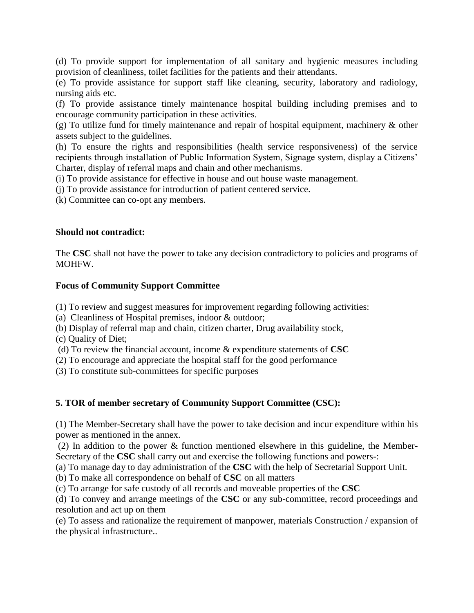(d) To provide support for implementation of all sanitary and hygienic measures including provision of cleanliness, toilet facilities for the patients and their attendants.

(e) To provide assistance for support staff like cleaning, security, laboratory and radiology, nursing aids etc.

(f) To provide assistance timely maintenance hospital building including premises and to encourage community participation in these activities.

(g) To utilize fund for timely maintenance and repair of hospital equipment, machinery & other assets subject to the guidelines.

(h) To ensure the rights and responsibilities (health service responsiveness) of the service recipients through installation of Public Information System, Signage system, display a Citizens' Charter, display of referral maps and chain and other mechanisms.

(i) To provide assistance for effective in house and out house waste management.

(j) To provide assistance for introduction of patient centered service.

(k) Committee can co-opt any members.

#### **Should not contradict:**

The **CSC** shall not have the power to take any decision contradictory to policies and programs of MOHFW.

#### **Focus of Community Support Committee**

(1) To review and suggest measures for improvement regarding following activities:

(a) Cleanliness of Hospital premises, indoor & outdoor;

(b) Display of referral map and chain, citizen charter, Drug availability stock,

(c) Quality of Diet;

(d) To review the financial account, income & expenditure statements of **CSC**

(2) To encourage and appreciate the hospital staff for the good performance

(3) To constitute sub-committees for specific purposes

#### **5. TOR of member secretary of Community Support Committee (CSC):**

(1) The Member-Secretary shall have the power to take decision and incur expenditure within his power as mentioned in the annex.

(2) In addition to the power & function mentioned elsewhere in this guideline, the Member-Secretary of the **CSC** shall carry out and exercise the following functions and powers-:

(a) To manage day to day administration of the **CSC** with the help of Secretarial Support Unit.

(b) To make all correspondence on behalf of **CSC** on all matters

(c) To arrange for safe custody of all records and moveable properties of the **CSC**

(d) To convey and arrange meetings of the **CSC** or any sub-committee, record proceedings and resolution and act up on them

(e) To assess and rationalize the requirement of manpower, materials Construction / expansion of the physical infrastructure..